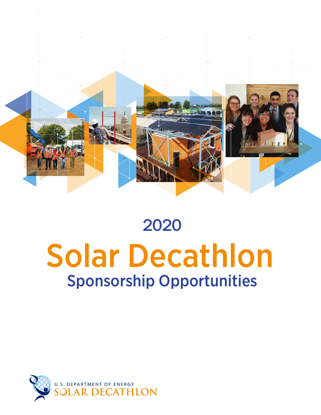

# 2020 Solar Decathlon Sponsorship Opportunities

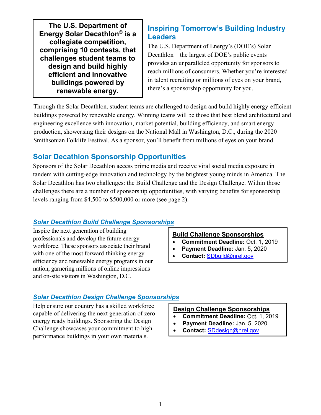**The U.S. Department of Energy Solar Decathlon® is a collegiate competition, comprising 10 contests, that challenges student teams to design and build highly efficient and innovative buildings powered by renewable energy.**

## **Inspiring Tomorrow's Building Industry Leaders**

The U.S. Department of Energy's (DOE's) Solar Decathlon—the largest of DOE's public events provides an unparalleled opportunity for sponsors to reach millions of consumers. Whether you're interested in talent recruiting or millions of eyes on your brand, there's a sponsorship opportunity for you.

Through the Solar Decathlon, student teams are challenged to design and build highly energy-efficient buildings powered by renewable energy. Winning teams will be those that best blend architectural and engineering excellence with innovation, market potential, building efficiency, and smart energy production, showcasing their designs on the National Mall in Washington, D.C., during the 2020 Smithsonian Folklife Festival. As a sponsor, you'll benefit from millions of eyes on your brand.

## **Solar Decathlon Sponsorship Opportunities**

Sponsors of the Solar Decathlon access prime media and receive viral social media exposure in tandem with cutting-edge innovation and technology by the brightest young minds in America. The Solar Decathlon has two challenges: the Build Challenge and the Design Challenge. Within those challenges there are a number of sponsorship opportunities, with varying benefits for sponsorship levels ranging from \$4,500 to \$500,000 or more (see page 2).

## *Solar Decathlon Build Challenge Sponsorships*

Inspire the next generation of building professionals and develop the future energy workforce. These sponsors associate their brand with one of the most forward-thinking energyefficiency and renewable energy programs in our nation, garnering millions of online impressions and on-site visitors in Washington, D.C.

## **Build Challenge Sponsorships**

- **Commitment Deadline:** Oct. 1, 2019
- **Payment Deadline:** Jan. 5, 2020
- **Contact:** SDbuild@nrel.gov

## *Solar Decathlon Design Challenge Sponsorships*

Help ensure our country has a skilled workforce capable of delivering the next generation of zero energy ready buildings. Sponsoring the Design Challenge showcases your commitment to highperformance buildings in your own materials.

#### **Design Challenge Sponsorships**

- Commitment Deadline: Oct. 1, 2019
- **Payment Deadline:** Jan. 5, 2020
- **Contact:** SDdesign@nrel.gov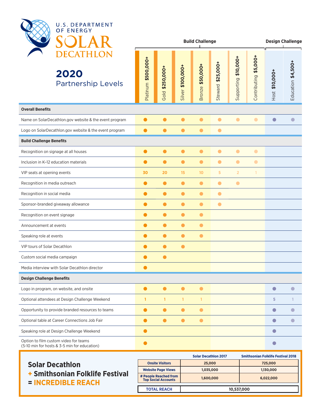

|                                                                                       | <b>Build Challenge</b> |                    |                   |                  |                   |                      | <b>Design Challenge</b> |                |                    |
|---------------------------------------------------------------------------------------|------------------------|--------------------|-------------------|------------------|-------------------|----------------------|-------------------------|----------------|--------------------|
| 2020<br><b>Partnership Levels</b>                                                     | Platinum \$500,000+    | \$250,000+<br>Gold | Silver \$100,000+ | Bronze \$50,000+ | Steward \$25,000+ | Supporting \$10,000+ | Contributing \$5,000+   | Host \$10,000+ | Education \$4,500+ |
| <b>Overall Benefits</b>                                                               |                        |                    |                   |                  |                   |                      |                         |                |                    |
| Name on SolarDecathlon.gov website & the event program                                | $\bullet$              | $\bullet$          | $\bullet$         | $\bullet$        | $\bullet$         | $\bullet$            | $\bullet$               | $\bigcirc$     | $\Box$             |
| Logo on SolarDecathlon.gov website & the event program                                | $\bullet$              | $\bullet$          | $\bullet$         | $\bullet$        | $\bullet$         |                      |                         |                |                    |
| <b>Build Challenge Benefits</b>                                                       |                        |                    |                   |                  |                   |                      |                         |                |                    |
| Recognition on signage at all houses                                                  | $\bullet$              | $\bullet$          | $\bullet$         | $\bullet$        | $\bullet$         | $\bullet$            | $\bullet$               |                |                    |
| Inclusion in K-12 education materials                                                 | $\bullet$              | $\bullet$          | $\bullet$         | $\bullet$        | $\bullet$         | $\bullet$            | $\bullet$               |                |                    |
| VIP seats at opening events                                                           | 30                     | 20                 | 15                | 10 <sub>o</sub>  | 5                 | $\overline{2}$       |                         |                |                    |
| Recognition in media outreach                                                         | $\bullet$              | $\bullet$          | $\bullet$         | $\bullet$        | $\bullet$         | $\bullet$            |                         |                |                    |
| Recognition in social media                                                           | $\bullet$              | $\bullet$          | $\bullet$         | $\bullet$        | $\bullet$         |                      |                         |                |                    |
| Sponsor-branded giveaway allowance                                                    |                        | $\bullet$          | $\bullet$         | $\bullet$        | $\bullet$         |                      |                         |                |                    |
| Recognition on event signage                                                          |                        | $\bullet$          | $\bullet$         | $\bullet$        |                   |                      |                         |                |                    |
| Announcement at events                                                                | $\bullet$              | $\bullet$          | $\bullet$         | $\bullet$        |                   |                      |                         |                |                    |
| Speaking role at events                                                               | $\bullet$              | $\bullet$          | $\bullet$         | $\bullet$        |                   |                      |                         |                |                    |
| <b>VIP tours of Solar Decathlon</b>                                                   |                        | $\bullet$          | $\bullet$         |                  |                   |                      |                         |                |                    |
| Custom social media campaign                                                          | $\bullet$              | $\bullet$          |                   |                  |                   |                      |                         |                |                    |
| Media interview with Solar Decathlon director                                         | $\bullet$              |                    |                   |                  |                   |                      |                         |                |                    |
| <b>Design Challenge Benefits</b>                                                      |                        |                    |                   |                  |                   |                      |                         |                |                    |
| Logo in program, on website, and onsite                                               |                        | $\bullet$          |                   | $\bullet$        |                   |                      |                         | $\bullet$      | O                  |
| Optional attendees at Design Challenge Weekend                                        | 1                      | 1                  | 1                 | 1                |                   |                      |                         | 5              |                    |
| Opportunity to provide branded resources to teams                                     | $\bullet$              | $\bullet$          | $\bullet$         | $\bullet$        |                   |                      |                         | $\bullet$      |                    |
| Optional table at Career Connections Job Fair                                         | $\blacksquare$         | $\bullet$          |                   | $\bullet$        |                   |                      |                         | $\bullet$      | O                  |
| Speaking role at Design Challenge Weekend                                             | O                      |                    |                   |                  |                   |                      |                         | $\bullet$      |                    |
| Option to film custom video for teams<br>(5-10 min for hosts & 3-5 min for education) |                        |                    |                   |                  |                   |                      |                         | $\bullet$      |                    |

|                                                                                          |                                                     | <b>Solar Decathlon 2017</b> | <b>Smithsonian Folklife Festival 2018</b> |  |
|------------------------------------------------------------------------------------------|-----------------------------------------------------|-----------------------------|-------------------------------------------|--|
| <b>Solar Decathlon</b><br><b>+ Smithsonian Folklife Festival</b><br>$=$ INCREDIBLE REACH | <b>Onsite Visitors</b>                              | 25,000                      | 725,000                                   |  |
|                                                                                          | <b>Website Page Views</b>                           | 1,035,000                   | 1,130,000                                 |  |
|                                                                                          | # People Reached from<br><b>Top Social Accounts</b> | 1,600,000                   | 6,022,000                                 |  |
|                                                                                          | <b>TOTAL REACH</b>                                  |                             | 10,537,000                                |  |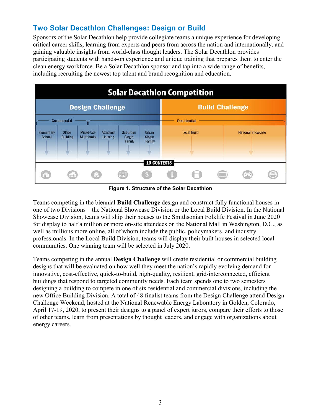## **Two Solar Decathlon Challenges: Design or Build**

Sponsors of the Solar Decathlon help provide collegiate teams a unique experience for developing critical career skills, learning from experts and peers from across the nation and internationally, and gaining valuable insights from world-class thought leaders. The Solar Decathlon provides participating students with hands-on experience and unique training that prepares them to enter the clean energy workforce. Be a Solar Decathlon sponsor and tap into a wide range of benefits, including recruiting the newest top talent and brand recognition and education.



**Figure 1. Structure of the Solar Decathlon**

Teams competing in the biennial **Build Challenge** design and construct fully functional houses in one of two Divisions—the National Showcase Division or the Local Build Division. In the National Showcase Division, teams will ship their houses to the Smithsonian Folklife Festival in June 2020 for display to half a million or more on-site attendees on the National Mall in Washington, D.C., as well as millions more online, all of whom include the public, policymakers, and industry professionals. In the Local Build Division, teams will display their built houses in selected local communities. One winning team will be selected in July 2020.

Teams competing in the annual **Design Challenge** will create residential or commercial building designs that will be evaluated on how well they meet the nation's rapidly evolving demand for innovative, cost-effective, quick-to-build, high-quality, resilient, grid-interconnected, efficient buildings that respond to targeted community needs. Each team spends one to two semesters designing a building to compete in one of six residential and commercial divisions, including the new Office Building Division. A total of 48 finalist teams from the Design Challenge attend Design Challenge Weekend, hosted at the National Renewable Energy Laboratory in Golden, Colorado, April 17-19, 2020, to present their designs to a panel of expert jurors, compare their efforts to those of other teams, learn from presentations by thought leaders, and engage with organizations about energy careers.